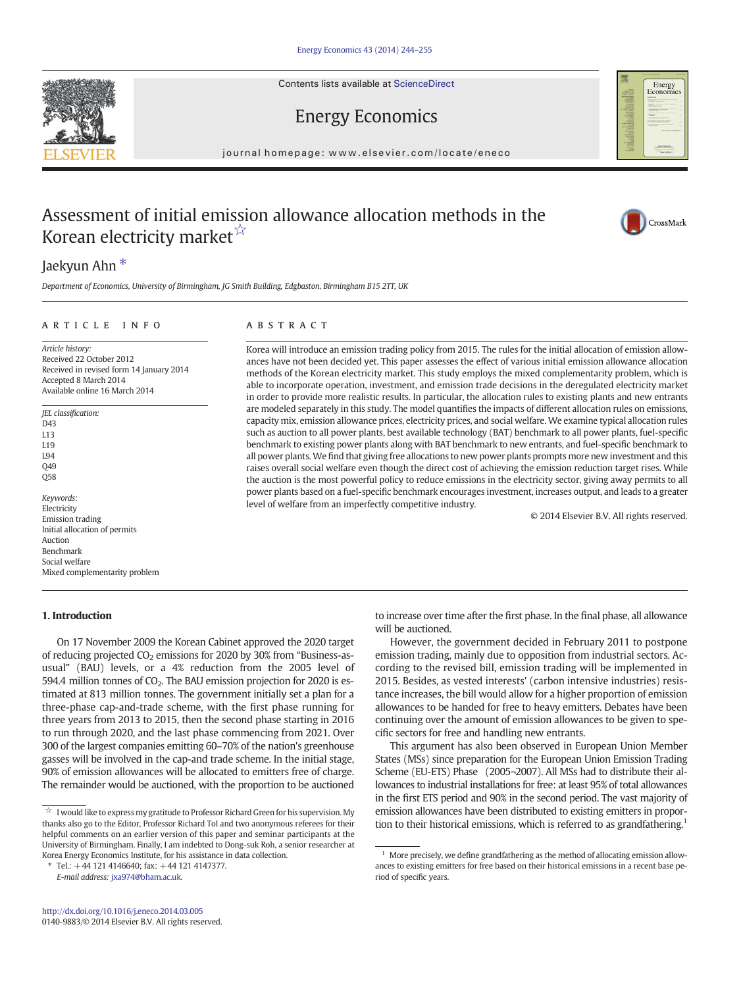Contents lists available at ScienceDirect





## Energy Economics

journal homepage: www.elsevier.com/locate/eneco

# Assessment of initial emission allowance allocation methods in the Korean electricity market<sup>☆</sup>



# Jaekyun Ahn<sup>\*</sup>

Department of Economics, University of Birmingham, JG Smith Building, Edgbaston, Birmingham B15 2TT, UK

#### article info abstract

Article history: Received 22 October 2012 Received in revised form 14 January 2014 Accepted 8 March 2014 Available online 16 March 2014

JEL classification: D43 L13 L19 L94 Q49 Q58 Keywords: Electricity Emission trading Initial allocation of permits Auction Benchmark Social welfare

Mixed complementarity problem

1. Introduction

On 17 November 2009 the Korean Cabinet approved the 2020 target of reducing projected  $CO<sub>2</sub>$  emissions for 2020 by 30% from "Business-asusual" (BAU) levels, or a 4% reduction from the 2005 level of 594.4 million tonnes of  $CO<sub>2</sub>$ . The BAU emission projection for 2020 is estimated at 813 million tonnes. The government initially set a plan for a three-phase cap-and-trade scheme, with the first phase running for three years from 2013 to 2015, then the second phase starting in 2016 to run through 2020, and the last phase commencing from 2021. Over 300 of the largest companies emitting 60–70% of the nation's greenhouse gasses will be involved in the cap-and trade scheme. In the initial stage, 90% of emission allowances will be allocated to emitters free of charge. The remainder would be auctioned, with the proportion to be auctioned

 $*$  Tel.:  $+44$  121 4146640; fax:  $+44$  121 4147377.

E-mail address: [jxa974@bham.ac.uk](mailto:jxa974@bham.ac.uk).

Korea will introduce an emission trading policy from 2015. The rules for the initial allocation of emission allowances have not been decided yet. This paper assesses the effect of various initial emission allowance allocation methods of the Korean electricity market. This study employs the mixed complementarity problem, which is able to incorporate operation, investment, and emission trade decisions in the deregulated electricity market in order to provide more realistic results. In particular, the allocation rules to existing plants and new entrants are modeled separately in this study. The model quantifies the impacts of different allocation rules on emissions, capacity mix, emission allowance prices, electricity prices, and social welfare. We examine typical allocation rules such as auction to all power plants, best available technology (BAT) benchmark to all power plants, fuel-specific benchmark to existing power plants along with BAT benchmark to new entrants, and fuel-specific benchmark to all power plants. We find that giving free allocations to new power plants prompts more new investment and this raises overall social welfare even though the direct cost of achieving the emission reduction target rises. While the auction is the most powerful policy to reduce emissions in the electricity sector, giving away permits to all power plants based on a fuel-specific benchmark encourages investment, increases output, and leads to a greater level of welfare from an imperfectly competitive industry.

© 2014 Elsevier B.V. All rights reserved.

to increase over time after the first phase. In the final phase, all allowance will be auctioned.

However, the government decided in February 2011 to postpone emission trading, mainly due to opposition from industrial sectors. According to the revised bill, emission trading will be implemented in 2015. Besides, as vested interests' (carbon intensive industries) resistance increases, the bill would allow for a higher proportion of emission allowances to be handed for free to heavy emitters. Debates have been continuing over the amount of emission allowances to be given to specific sectors for free and handling new entrants.

This argument has also been observed in European Union Member States (MSs) since preparation for the European Union Emission Trading Scheme (EU-ETS) Phase (2005¬2007). All MSs had to distribute their allowances to industrial installations for free: at least 95% of total allowances in the first ETS period and 90% in the second period. The vast majority of emission allowances have been distributed to existing emitters in proportion to their historical emissions, which is referred to as grandfathering.<sup>1</sup>

 $\vec{r}$  I would like to express my gratitude to Professor Richard Green for his supervision. My thanks also go to the Editor, Professor Richard Tol and two anonymous referees for their helpful comments on an earlier version of this paper and seminar participants at the University of Birmingham. Finally, I am indebted to Dong-suk Roh, a senior researcher at Korea Energy Economics Institute, for his assistance in data collection.

 $1$  More precisely, we define grandfathering as the method of allocating emission allowances to existing emitters for free based on their historical emissions in a recent base period of specific years.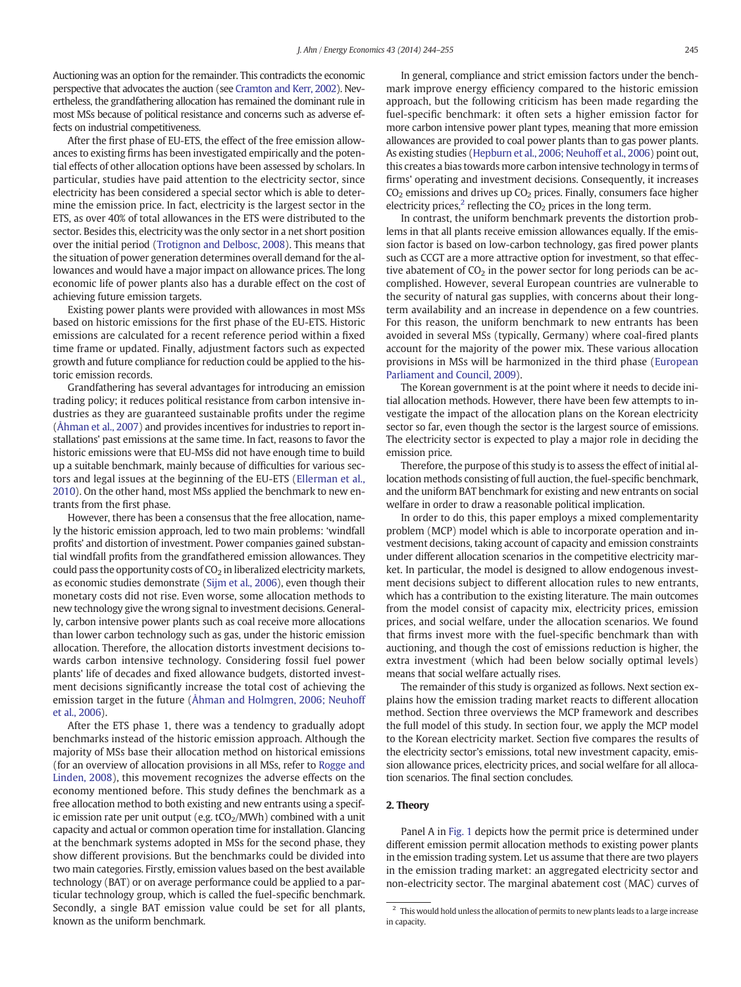Auctioning was an option for the remainder. This contradicts the economic perspective that advocates the auction (see [Cramton and Kerr, 2002](#page--1-0)). Nevertheless, the grandfathering allocation has remained the dominant rule in most MSs because of political resistance and concerns such as adverse effects on industrial competitiveness.

After the first phase of EU-ETS, the effect of the free emission allowances to existing firms has been investigated empirically and the potential effects of other allocation options have been assessed by scholars. In particular, studies have paid attention to the electricity sector, since electricity has been considered a special sector which is able to determine the emission price. In fact, electricity is the largest sector in the ETS, as over 40% of total allowances in the ETS were distributed to the sector. Besides this, electricity was the only sector in a net short position over the initial period [\(Trotignon and Delbosc, 2008](#page--1-0)). This means that the situation of power generation determines overall demand for the allowances and would have a major impact on allowance prices. The long economic life of power plants also has a durable effect on the cost of achieving future emission targets.

Existing power plants were provided with allowances in most MSs based on historic emissions for the first phase of the EU-ETS. Historic emissions are calculated for a recent reference period within a fixed time frame or updated. Finally, adjustment factors such as expected growth and future compliance for reduction could be applied to the historic emission records.

Grandfathering has several advantages for introducing an emission trading policy; it reduces political resistance from carbon intensive industries as they are guaranteed sustainable profits under the regime [\(Åhman et al., 2007](#page--1-0)) and provides incentives for industries to report installations' past emissions at the same time. In fact, reasons to favor the historic emissions were that EU-MSs did not have enough time to build up a suitable benchmark, mainly because of difficulties for various sectors and legal issues at the beginning of the EU-ETS ([Ellerman et al.,](#page--1-0) [2010](#page--1-0)). On the other hand, most MSs applied the benchmark to new entrants from the first phase.

However, there has been a consensus that the free allocation, namely the historic emission approach, led to two main problems: 'windfall profits' and distortion of investment. Power companies gained substantial windfall profits from the grandfathered emission allowances. They could pass the opportunity costs of  $CO<sub>2</sub>$  in liberalized electricity markets, as economic studies demonstrate [\(Sijm et al., 2006\)](#page--1-0), even though their monetary costs did not rise. Even worse, some allocation methods to new technology give the wrong signal to investment decisions. Generally, carbon intensive power plants such as coal receive more allocations than lower carbon technology such as gas, under the historic emission allocation. Therefore, the allocation distorts investment decisions towards carbon intensive technology. Considering fossil fuel power plants' life of decades and fixed allowance budgets, distorted investment decisions significantly increase the total cost of achieving the emission target in the future [\(Åhman and Holmgren, 2006; Neuhoff](#page--1-0) [et al., 2006](#page--1-0)).

After the ETS phase 1, there was a tendency to gradually adopt benchmarks instead of the historic emission approach. Although the majority of MSs base their allocation method on historical emissions (for an overview of allocation provisions in all MSs, refer to [Rogge and](#page--1-0) [Linden, 2008](#page--1-0)), this movement recognizes the adverse effects on the economy mentioned before. This study defines the benchmark as a free allocation method to both existing and new entrants using a specific emission rate per unit output (e.g.  $tCO<sub>2</sub>/MWh$ ) combined with a unit capacity and actual or common operation time for installation. Glancing at the benchmark systems adopted in MSs for the second phase, they show different provisions. But the benchmarks could be divided into two main categories. Firstly, emission values based on the best available technology (BAT) or on average performance could be applied to a particular technology group, which is called the fuel-specific benchmark. Secondly, a single BAT emission value could be set for all plants, known as the uniform benchmark.

In general, compliance and strict emission factors under the benchmark improve energy efficiency compared to the historic emission approach, but the following criticism has been made regarding the fuel-specific benchmark: it often sets a higher emission factor for more carbon intensive power plant types, meaning that more emission allowances are provided to coal power plants than to gas power plants. As existing studies [\(Hepburn et al., 2006; Neuhoff et al., 2006\)](#page--1-0) point out, this creates a bias towards more carbon intensive technology in terms of firms' operating and investment decisions. Consequently, it increases  $CO<sub>2</sub>$  emissions and drives up  $CO<sub>2</sub>$  prices. Finally, consumers face higher electricity prices,<sup>2</sup> reflecting the  $CO<sub>2</sub>$  prices in the long term.

In contrast, the uniform benchmark prevents the distortion problems in that all plants receive emission allowances equally. If the emission factor is based on low-carbon technology, gas fired power plants such as CCGT are a more attractive option for investment, so that effective abatement of  $CO<sub>2</sub>$  in the power sector for long periods can be accomplished. However, several European countries are vulnerable to the security of natural gas supplies, with concerns about their longterm availability and an increase in dependence on a few countries. For this reason, the uniform benchmark to new entrants has been avoided in several MSs (typically, Germany) where coal-fired plants account for the majority of the power mix. These various allocation provisions in MSs will be harmonized in the third phase ([European](#page--1-0) [Parliament and Council, 2009\)](#page--1-0).

The Korean government is at the point where it needs to decide initial allocation methods. However, there have been few attempts to investigate the impact of the allocation plans on the Korean electricity sector so far, even though the sector is the largest source of emissions. The electricity sector is expected to play a major role in deciding the emission price.

Therefore, the purpose of this study is to assess the effect of initial allocation methods consisting of full auction, the fuel-specific benchmark, and the uniform BAT benchmark for existing and new entrants on social welfare in order to draw a reasonable political implication.

In order to do this, this paper employs a mixed complementarity problem (MCP) model which is able to incorporate operation and investment decisions, taking account of capacity and emission constraints under different allocation scenarios in the competitive electricity market. In particular, the model is designed to allow endogenous investment decisions subject to different allocation rules to new entrants, which has a contribution to the existing literature. The main outcomes from the model consist of capacity mix, electricity prices, emission prices, and social welfare, under the allocation scenarios. We found that firms invest more with the fuel-specific benchmark than with auctioning, and though the cost of emissions reduction is higher, the extra investment (which had been below socially optimal levels) means that social welfare actually rises.

The remainder of this study is organized as follows. Next section explains how the emission trading market reacts to different allocation method. Section three overviews the MCP framework and describes the full model of this study. In section four, we apply the MCP model to the Korean electricity market. Section five compares the results of the electricity sector's emissions, total new investment capacity, emission allowance prices, electricity prices, and social welfare for all allocation scenarios. The final section concludes.

### 2. Theory

Panel A in [Fig. 1](#page--1-0) depicts how the permit price is determined under different emission permit allocation methods to existing power plants in the emission trading system. Let us assume that there are two players in the emission trading market: an aggregated electricity sector and non-electricity sector. The marginal abatement cost (MAC) curves of

 $2$  This would hold unless the allocation of permits to new plants leads to a large increase in capacity.